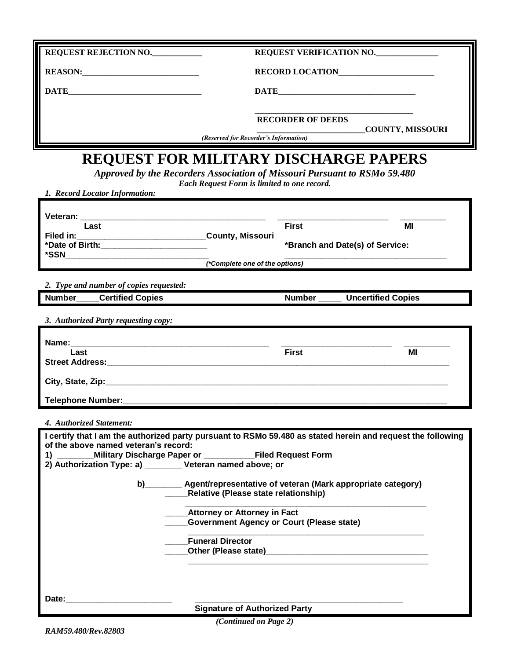| REQUEST REJECTION NO.                                                                                                                                                                                                                |                                                                                                                          |                          | REQUEST VERIFICATION NO.        |  |
|--------------------------------------------------------------------------------------------------------------------------------------------------------------------------------------------------------------------------------------|--------------------------------------------------------------------------------------------------------------------------|--------------------------|---------------------------------|--|
| REASON:                                                                                                                                                                                                                              | RECORD LOCATION                                                                                                          |                          |                                 |  |
| DATE <b>International Contract Contract Contract Contract Contract Contract Contract Contract Contract Contract Contract Contract Contract Contract Contract Contract Contract Contract Contract Contract Contract Contract Cont</b> |                                                                                                                          |                          |                                 |  |
|                                                                                                                                                                                                                                      |                                                                                                                          |                          |                                 |  |
|                                                                                                                                                                                                                                      |                                                                                                                          | <b>RECORDER OF DEEDS</b> | COUNTY, MISSOURI                |  |
| (Reserved for Recorder's Information)                                                                                                                                                                                                |                                                                                                                          |                          |                                 |  |
| <b>REQUEST FOR MILITARY DISCHARGE PAPERS</b>                                                                                                                                                                                         |                                                                                                                          |                          |                                 |  |
|                                                                                                                                                                                                                                      | Approved by the Recorders Association of Missouri Pursuant to RSMo 59.480<br>Each Request Form is limited to one record. |                          |                                 |  |
| 1. Record Locator Information:                                                                                                                                                                                                       |                                                                                                                          |                          |                                 |  |
| Veteran:                                                                                                                                                                                                                             | <u> 1989 - Johann Harry Harry Harry Harry Harry Harry Harry Harry Harry Harry Harry Harry Harry Harry Harry Harry</u>    |                          |                                 |  |
| Last                                                                                                                                                                                                                                 |                                                                                                                          | <b>First</b>             | MI                              |  |
|                                                                                                                                                                                                                                      |                                                                                                                          |                          | *Branch and Date(s) of Service: |  |
| (*Complete one of the options)                                                                                                                                                                                                       |                                                                                                                          |                          |                                 |  |
| 2. Type and number of copies requested:                                                                                                                                                                                              |                                                                                                                          |                          |                                 |  |
| <b>Number</b><br><b>Certified Copies</b>                                                                                                                                                                                             |                                                                                                                          | <b>Number</b>            | <b>Uncertified Copies</b>       |  |
| 3. Authorized Party requesting copy:                                                                                                                                                                                                 |                                                                                                                          |                          |                                 |  |
|                                                                                                                                                                                                                                      |                                                                                                                          |                          |                                 |  |
| Name:<br>Last                                                                                                                                                                                                                        | <u> 1980 - Johann Barbara, martxa alemaniar argumento de la contrada de la contrada de la contrada de la contrad</u>     | <b>First</b>             | МI                              |  |
| <b>Street Address: Example 2014</b>                                                                                                                                                                                                  |                                                                                                                          |                          |                                 |  |
|                                                                                                                                                                                                                                      |                                                                                                                          |                          |                                 |  |
| Telephone Number:                                                                                                                                                                                                                    |                                                                                                                          |                          |                                 |  |
| 4. Authorized Statement:                                                                                                                                                                                                             |                                                                                                                          |                          |                                 |  |
| I certify that I am the authorized party pursuant to RSMo 59.480 as stated herein and request the following<br>of the above named veteran's record:                                                                                  |                                                                                                                          |                          |                                 |  |
| Military Discharge Paper or _________Filed Request Form<br>$\overline{1}$ $\overline{\phantom{1}}$                                                                                                                                   |                                                                                                                          |                          |                                 |  |
| 2) Authorization Type: a) _______ Veteran named above; or                                                                                                                                                                            |                                                                                                                          |                          |                                 |  |
|                                                                                                                                                                                                                                      | b) ________ Agent/representative of veteran (Mark appropriate category)<br>Relative (Please state relationship)          |                          |                                 |  |
| __Attorney or Attorney in Fact                                                                                                                                                                                                       |                                                                                                                          |                          |                                 |  |
|                                                                                                                                                                                                                                      | <b>Government Agency or Court (Please state)</b>                                                                         |                          |                                 |  |
|                                                                                                                                                                                                                                      | <b>Funeral Director</b>                                                                                                  |                          |                                 |  |
|                                                                                                                                                                                                                                      |                                                                                                                          |                          |                                 |  |
|                                                                                                                                                                                                                                      |                                                                                                                          |                          |                                 |  |
| Date:                                                                                                                                                                                                                                |                                                                                                                          |                          |                                 |  |
|                                                                                                                                                                                                                                      | <b>Signature of Authorized Party</b>                                                                                     |                          |                                 |  |

*(Continued on Page 2)*